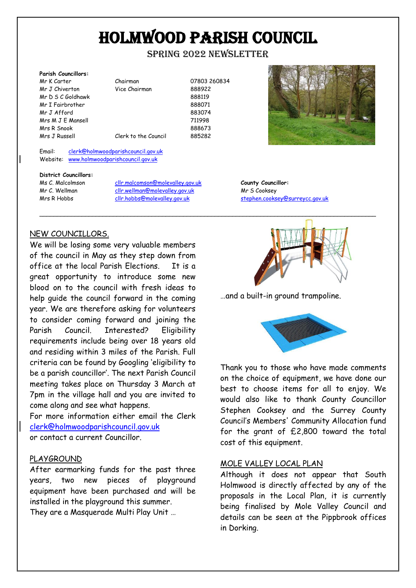## HOLMWOOD PARISH COUNCIL

spring 2022 nEWSLETTER

| <b>Parish Councillors:</b> |                      |        |
|----------------------------|----------------------|--------|
| Mr K Carter                | Chairman             | 078032 |
| Mr J Chiverton             | Vice Chairman        | 888922 |
| Mr D S C Goldhawk          |                      | 888119 |
| Mr I Fairbrother           |                      | 888071 |
| Mr J Afford                |                      | 883074 |
| Mrs M J E Mansell          |                      | 711998 |
| Mrs R Snook                |                      | 888673 |
| Mrs J Russell              | Clerk to the Council | 885282 |
|                            |                      |        |

airman 07803 260834 ce Chairman 888922

883074 erk to the Council 885282

\_\_\_\_\_\_\_\_\_\_\_\_\_\_\_\_\_\_\_\_\_\_\_\_\_\_\_\_\_\_\_\_\_\_\_\_\_\_\_\_\_\_\_\_\_\_\_\_\_\_\_\_\_\_\_\_\_\_\_\_\_\_\_\_\_\_\_\_\_\_\_\_\_\_\_\_\_\_\_\_\_\_\_\_\_\_\_\_\_\_\_\_\_\_\_\_

Email: [clerk@holmwoodparishcouncil.gov.uk](mailto:clerk@holmwoodparishcouncil.gov.uk) Website: [www.holmwoodparishcouncil.gov.uk](http://www.holmwoodparishcouncil.gov.uk/)

#### **District Councillors:**

Ms C. Malcolmson [cllr.malcomson@molevalley.gov.uk](mailto:cllr.malcomson@molevalley.gov.uk) **County Councillor:** Mr C. Wellman [cllr.wellman@molevalley.gov.uk](mailto:cllr.wellman@molevalley.gov.uk) Mr S Cooksey



Mrs R Hobbs [cllr.hobbs@molevalley.gov.uk](mailto:cllr.hobbs@molevalley.gov.uk) stephen.cooksey@surreycc.gov.uk

## NEW COUNCILLORS.

We will be losing some very valuable members of the council in May as they step down from office at the local Parish Elections. It is a great opportunity to introduce some new blood on to the council with fresh ideas to help guide the council forward in the coming year. We are therefore asking for volunteers to consider coming forward and joining the Parish Council. Interested? Eligibility requirements include being over 18 years old and residing within 3 miles of the Parish. Full criteria can be found by Googling 'eligibility to be a parish councillor'. The next Parish Council meeting takes place on Thursday 3 March at 7pm in the village hall and you are invited to come along and see what happens.

For more information either email the Clerk [clerk@holmwoodparishcouncil.gov.uk](mailto:clerk@holmwoodparishcouncil.gov.uk) or contact a current Councillor.

### PLAYGROUND

After earmarking funds for the past three years, two new pieces of playground equipment have been purchased and will be installed in the playground this summer. They are a Masquerade Multi Play Unit …



…and a built-in ground trampoline.



Thank you to those who have made comments on the choice of equipment, we have done our best to choose items for all to enjoy. We would also like to thank County Councillor Stephen Cooksey and the Surrey County Council's Members' Community Allocation fund for the grant of £2,800 toward the total cost of this equipment.

### MOLE VALLEY LOCAL PLAN

Although it does not appear that South Holmwood is directly affected by any of the proposals in the Local Plan, it is currently being finalised by Mole Valley Council and details can be seen at the Pippbrook offices in Dorking.